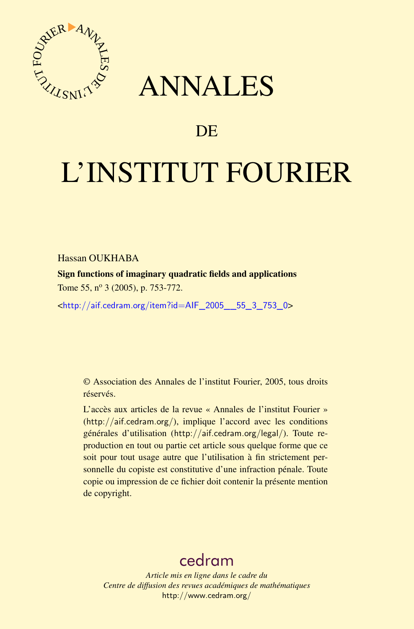



## DE

# L'INSTITUT FOURIER

Hassan OUKHABA

Sign functions of imaginary quadratic fields and applications Tome 55, nº 3 (2005), p. 753-772.

<[http://aif.cedram.org/item?id=AIF\\_2005\\_\\_55\\_3\\_753\\_0](http://aif.cedram.org/item?id=AIF_2005__55_3_753_0)>

© Association des Annales de l'institut Fourier, 2005, tous droits réservés.

L'accès aux articles de la revue « Annales de l'institut Fourier » (<http://aif.cedram.org/>), implique l'accord avec les conditions générales d'utilisation (<http://aif.cedram.org/legal/>). Toute reproduction en tout ou partie cet article sous quelque forme que ce soit pour tout usage autre que l'utilisation à fin strictement personnelle du copiste est constitutive d'une infraction pénale. Toute copie ou impression de ce fichier doit contenir la présente mention de copyright.

## [cedram](http://www.cedram.org/)

*Article mis en ligne dans le cadre du Centre de diffusion des revues académiques de mathématiques* <http://www.cedram.org/>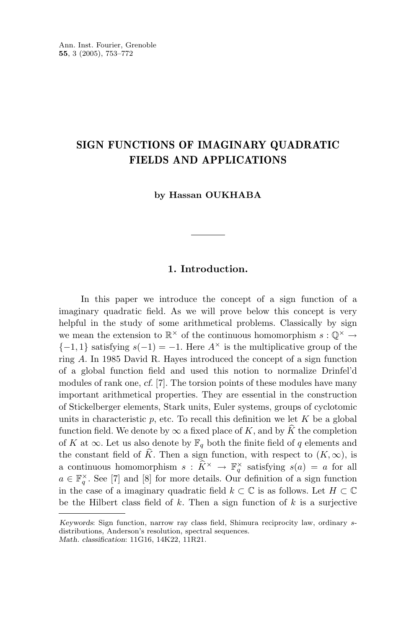### **SIGN FUNCTIONS OF IMAGINARY QUADRATIC FIELDS AND APPLICATIONS**

**by Hassan OUKHABA**

#### **1. Introduction.**

In this paper we introduce the concept of a sign function of a imaginary quadratic field. As we will prove below this concept is very helpful in the study of some arithmetical problems. Classically by sign we mean the extension to  $\mathbb{R}^{\times}$  of the continuous homomorphism  $s : \mathbb{Q}^{\times} \to$  ${-1, 1}$  satisfying  $s(-1) = -1$ . Here  $A^{\times}$  is the multiplicative group of the ring *A*. In 1985 David R. Hayes introduced the concept of a sign function of a global function field and used this notion to normalize Drinfel'd modules of rank one, *cf.* [7]. The torsion points of these modules have many important arithmetical properties. They are essential in the construction of Stickelberger elements, Stark units, Euler systems, groups of cyclotomic units in characteristic  $p$ , etc. To recall this definition we let  $K$  be a global function field. We denote by  $\infty$  a fixed place of *K*, and by *K* the completion of *K* at  $\infty$ . Let us also denote by  $\mathbb{F}_q$  both the finite field of *q* elements and the constant field of *K*. Then a sign function, with respect to  $(K, \infty)$ , is a continuous homomorphism  $s : \hat{K}^{\times} \to \mathbb{F}_q^{\times}$  satisfying  $s(a) = a$  for all  $\in \mathbb{F}_q^{\times}$  or  $\mathbb{F}_q^{\times}$  $a \in \mathbb{F}_q^{\times}$ . See [7] and [8] for more details. Our definition of a sign function in the case of a imaginary quadratic field  $k \subset \mathbb{C}$  is as follows. Let  $H \subset \mathbb{C}$ be the Hilbert class field of *k*. Then a sign function of *k* is a surjective

*Keywords*: Sign function, narrow ray class field, Shimura reciprocity law, ordinary sdistributions, Anderson's resolution, spectral sequences. *Math. classification*: 11G16, 14K22, 11R21.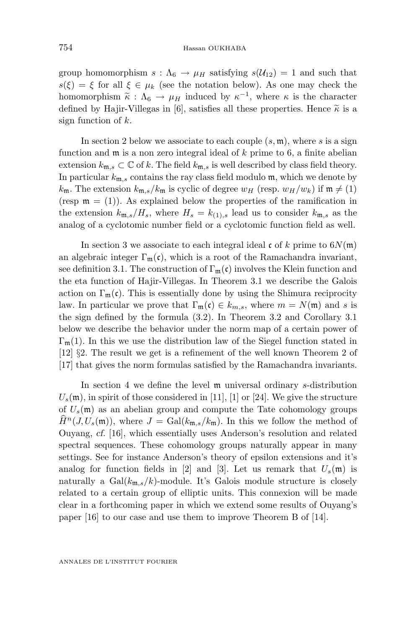group homomorphism  $s : \Lambda_6 \to \mu_H$  satisfying  $s(\mathcal{U}_{12}) = 1$  and such that  $s(\xi) = \xi$  for all  $\xi \in \mu_k$  (see the notation below). As one may check the homomorphism  $\tilde{\kappa}$  :  $\Lambda_6 \to \mu_H$  induced by  $\kappa^{-1}$ , where  $\kappa$  is the character defined by Hajir-Villegas in [6], satisfies all these properties. Hence  $\tilde{\kappa}$  is a sign function of *k*.

In section 2 below we associate to each couple (*s,* m), where *s* is a sign function and m is a non zero integral ideal of *k* prime to 6, a finite abelian extension  $k_{\mathfrak{m},s} \subset \mathbb{C}$  of k. The field  $k_{\mathfrak{m},s}$  is well described by class field theory. In particular  $k_{\mathfrak{m},s}$  contains the ray class field modulo  $\mathfrak{m}$ , which we denote by  $k_{\rm m}$ . The extension  $k_{\rm m,s}/k_{\rm m}$  is cyclic of degree  $w_H$  (resp.  $w_H/w_k$ ) if  $\mathfrak{m} \neq (1)$ (resp  $\mathfrak{m} = (1)$ ). As explained below the properties of the ramification in the extension  $k_{\mathfrak{m},s}/H_s$ , where  $H_s = k_{(1),s}$  lead us to consider  $k_{\mathfrak{m},s}$  as the analog of a cyclotomic number field or a cyclotomic function field as well.

In section 3 we associate to each integral ideal  $\mathfrak{c}$  of  $k$  prime to  $6N(\mathfrak{m})$ an algebraic integer  $\Gamma_{\mathfrak{m}}(\mathfrak{c})$ , which is a root of the Ramachandra invariant, see definition 3.1. The construction of  $\Gamma_{m}(\mathfrak{c})$  involves the Klein function and the eta function of Hajir-Villegas. In Theorem 3.1 we describe the Galois action on  $\Gamma_{\mathfrak{m}}(\mathfrak{c})$ . This is essentially done by using the Shimura reciprocity law. In particular we prove that  $\Gamma_{\mathfrak{m}}(\mathfrak{c}) \in k_{m,s}$ , where  $m = N(\mathfrak{m})$  and *s* is the sign defined by the formula (3.2). In Theorem 3.2 and Corollary 3.1 below we describe the behavior under the norm map of a certain power of  $\Gamma_{\mathfrak{m}}(1)$ . In this we use the distribution law of the Siegel function stated in [12] §2. The result we get is a refinement of the well known Theorem 2 of [17] that gives the norm formulas satisfied by the Ramachandra invariants.

In section 4 we define the level m universal ordinary *s*-distribution  $U_s(\mathfrak{m})$ , in spirit of those considered in [11], [1] or [24]. We give the structure of  $U_s(\mathfrak{m})$  as an abelian group and compute the Tate cohomology groups  $H^n(J, U_s(\mathfrak{m}))$ , where  $J = \text{Gal}(k_{\mathfrak{m},s}/k_{\mathfrak{m}})$ . In this we follow the method of Ouyang, *cf.* [16], which essentially uses Anderson's resolution and related spectral sequences. These cohomology groups naturally appear in many settings. See for instance Anderson's theory of epsilon extensions and it's analog for function fields in [2] and [3]. Let us remark that  $U_s(\mathfrak{m})$  is naturally a  $Gal(k_{m,s}/k)$ -module. It's Galois module structure is closely related to a certain group of elliptic units. This connexion will be made clear in a forthcoming paper in which we extend some results of Ouyang's paper [16] to our case and use them to improve Theorem B of [14].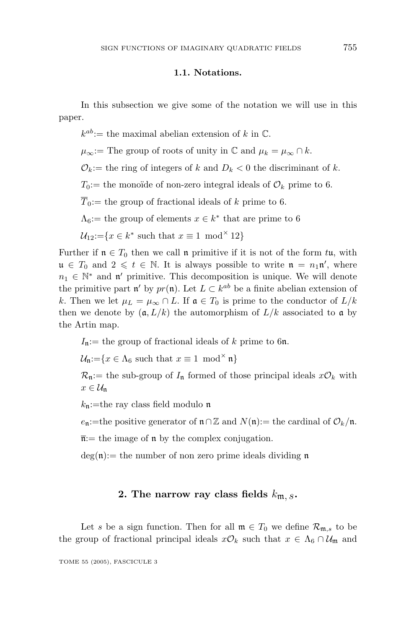#### **1.1. Notations.**

In this subsection we give some of the notation we will use in this paper.

 $k^{ab}$ := the maximal abelian extension of *k* in  $\mathbb{C}$ .

 $\mu_{\infty}$ := The group of roots of unity in  $\mathbb{C}$  and  $\mu_k = \mu_{\infty} \cap k$ .

 $\mathcal{O}_k :=$  the ring of integers of *k* and  $D_k < 0$  the discriminant of *k*.

 $T_0:=$  the monoïde of non-zero integral ideals of  $\mathcal{O}_k$  prime to 6.

 $\overline{T}_0$ := the group of fractional ideals of *k* prime to 6.

 $\Lambda_6$ : the group of elements  $x \in k^*$  that are prime to 6

 $\mathcal{U}_{12}:=\{x\in k^* \text{ such that } x\equiv 1 \mod^{\times} 12\}$ 

Further if  $\mathfrak{n} \in T_0$  then we call  $\mathfrak{n}$  primitive if it is not of the form  $t\mathfrak{u}$ , with  $\mathfrak{u} \in T_0$  and  $2 \leq t \in \mathbb{N}$ . It is always possible to write  $\mathfrak{n} = n_1 \mathfrak{n}'$ , where  $n_1 \in \mathbb{N}^*$  and n' primitive. This decomposition is unique. We will denote the primitive part n' by  $pr(\mathfrak{n})$ . Let  $L \subset k^{ab}$  be a finite abelian extension of *k*. Then we let  $\mu_L = \mu_\infty \cap L$ . If  $\mathfrak{a} \in T_0$  is prime to the conductor of  $L/k$ then we denote by  $(a, L/k)$  the automorphism of  $L/k$  associated to a by the Artin map.

 $I_n :=$  the group of fractional ideals of *k* prime to 6n.

 $\mathcal{U}_n:=\{x\in\Lambda_6\text{ such that }x\equiv 1\text{ mod}^\times\mathfrak{n}\}\$ 

 $\mathcal{R}_{n}:=$  the sub-group of  $I_{n}$  formed of those principal ideals  $x\mathcal{O}_{k}$  with  $x \in \mathcal{U}_n$ 

 $k_n$ :=the ray class field modulo n

 $e_n$ :=the positive generator of  $n \cap \mathbb{Z}$  and  $N(n)$ := the cardinal of  $\mathcal{O}_k/n$ .

 $\overline{\mathfrak{n}}$ : the image of  $\mathfrak{n}$  by the complex conjugation.

 $deg(\mathfrak{n})$ : the number of non zero prime ideals dividing  $\mathfrak{n}$ 

#### **2.** The narrow ray class fields  $k_{m, s}$ .

Let *s* be a sign function. Then for all  $\mathfrak{m} \in T_0$  we define  $\mathcal{R}_{\mathfrak{m},s}$  to be the group of fractional principal ideals  $x\mathcal{O}_k$  such that  $x \in \Lambda_6 \cap \mathcal{U}_m$  and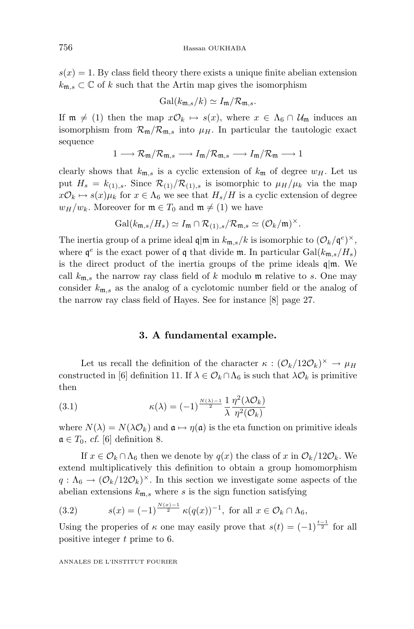$s(x) = 1$ . By class field theory there exists a unique finite abelian extension  $k_{\mathfrak{m},s} \subset \mathbb{C}$  of *k* such that the Artin map gives the isomorphism

$$
\mathrm{Gal}(k_{\mathfrak{m},s}/k)\simeq I_{\mathfrak{m}}/\mathcal{R}_{\mathfrak{m},s}.
$$

If  $\mathfrak{m} \neq (1)$  then the map  $x\mathcal{O}_k \mapsto s(x)$ , where  $x \in \Lambda_6 \cap \mathcal{U}_{\mathfrak{m}}$  induces an isomorphism from  $\mathcal{R}_{m}/\mathcal{R}_{m,s}$  into  $\mu$ <sub>*H*</sub>. In particular the tautologic exact sequence

$$
1\longrightarrow \mathcal{R}_{\mathfrak{m}}/\mathcal{R}_{\mathfrak{m},s}\longrightarrow \mathit{I}_{\mathfrak{m}}/\mathcal{R}_{\mathfrak{m},s}\longrightarrow \mathit{I}_{\mathfrak{m}}/\mathcal{R}_{\mathfrak{m}}\longrightarrow 1
$$

clearly shows that  $k_{\text{m},s}$  is a cyclic extension of  $k_{\text{m}}$  of degree  $w_H$ . Let us put  $H_s = k_{(1),s}$ . Since  $\mathcal{R}_{(1)}/\mathcal{R}_{(1),s}$  is isomorphic to  $\mu_H/\mu_k$  via the map  $x\mathcal{O}_k \mapsto s(x)\mu_k$  for  $x \in \Lambda_6$  we see that  $H_s/H$  is a cyclic extension of degree  $w_H/w_k$ . Moreover for  $\mathfrak{m} \in T_0$  and  $\mathfrak{m} \neq (1)$  we have

$$
\mathrm{Gal}(k_{\mathfrak{m},s}/H_s)\simeq I_{\mathfrak{m}}\cap\mathcal{R}_{(1),s}/\mathcal{R}_{\mathfrak{m},s}\simeq(\mathcal{O}_k/\mathfrak{m})^{\times}.
$$

The inertia group of a prime ideal  $\mathfrak{q}|\mathfrak{m}$  in  $k_{\mathfrak{m},s}/k$  is isomorphic to  $(\mathcal{O}_k/\mathfrak{q}^e)^{\times}$ , where  $\varphi^e$  is the exact power of  $\varphi$  that divide m. In particular Gal( $k_{\text{m},s}/H_s$ ) is the direct product of the inertia groups of the prime ideals  $q/m$ . We call  $k_{\text{m},s}$  the narrow ray class field of k modulo m relative to s. One may consider *k*m*,s* as the analog of a cyclotomic number field or the analog of the narrow ray class field of Hayes. See for instance [8] page 27.

#### **3. A fundamental example.**

Let us recall the definition of the character  $\kappa$  :  $(\mathcal{O}_k/12\mathcal{O}_k)^\times \to \mu_H$ constructed in [6] definition 11. If  $\lambda \in \mathcal{O}_k \cap \Lambda_6$  is such that  $\lambda \mathcal{O}_k$  is primitive then

(3.1) 
$$
\kappa(\lambda) = (-1)^{\frac{N(\lambda)-1}{2}} \frac{1}{\lambda} \frac{\eta^2(\lambda \mathcal{O}_k)}{\eta^2(\mathcal{O}_k)}
$$

where  $N(\lambda) = N(\lambda \mathcal{O}_k)$  and  $\mathfrak{a} \mapsto \eta(\mathfrak{a})$  is the eta function on primitive ideals  $\mathfrak{a} \in T_0$ , *cf.* [6] definition 8.

If  $x \in \mathcal{O}_k \cap \Lambda_6$  then we denote by  $q(x)$  the class of *x* in  $\mathcal{O}_k/12\mathcal{O}_k$ . We extend multiplicatively this definition to obtain a group homomorphism  $q: \Lambda_6 \to (\mathcal{O}_k/12\mathcal{O}_k)^\times$ . In this section we investigate some aspects of the abelian extensions  $k_{\text{m},s}$  where *s* is the sign function satisfying

(3.2) 
$$
s(x) = (-1)^{\frac{N(x)-1}{2}} \kappa(q(x))^{-1}, \text{ for all } x \in \mathcal{O}_k \cap \Lambda_6,
$$

Using the properies of  $\kappa$  one may easily prove that  $s(t)=(-1)^{\frac{t-1}{2}}$  for all positive integer *t* prime to 6.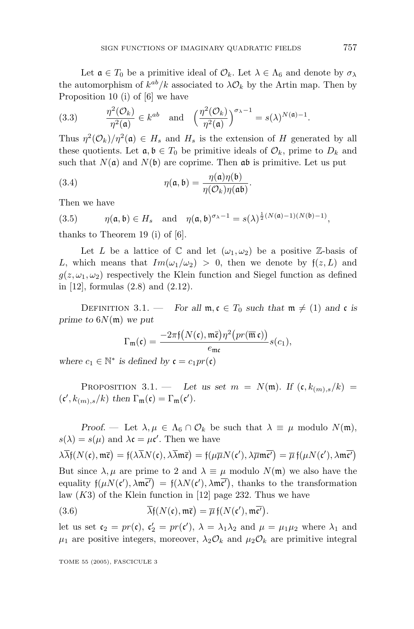Let  $\mathfrak{a} \in T_0$  be a primitive ideal of  $\mathcal{O}_k$ . Let  $\lambda \in \Lambda_6$  and denote by  $\sigma_{\lambda}$ the automorphism of  $k^{ab}/k$  associated to  $\lambda \mathcal{O}_k$  by the Artin map. Then by Proposition 10 (i) of [6] we have

(3.3) 
$$
\frac{\eta^2(\mathcal{O}_k)}{\eta^2(\mathfrak{a})} \in k^{ab} \text{ and } \left(\frac{\eta^2(\mathcal{O}_k)}{\eta^2(\mathfrak{a})}\right)^{\sigma_{\lambda}-1} = s(\lambda)^{N(\mathfrak{a})-1}.
$$

Thus  $\eta^2(\mathcal{O}_k)/\eta^2(\mathfrak{a}) \in H_s$  and  $H_s$  is the extension of *H* generated by all these quotients. Let  $a, b \in T_0$  be primitive ideals of  $\mathcal{O}_k$ , prime to  $D_k$  and such that  $N(\mathfrak{a})$  and  $N(\mathfrak{b})$  are coprime. Then  $\mathfrak{a}\mathfrak{b}$  is primitive. Let us put

(3.4) 
$$
\eta(\mathfrak{a}, \mathfrak{b}) = \frac{\eta(\mathfrak{a})\eta(\mathfrak{b})}{\eta(\mathcal{O}_k)\eta(\mathfrak{a}\mathfrak{b})}.
$$

Then we have

(3.5) 
$$
\eta(\mathfrak{a},\mathfrak{b}) \in H_s \quad \text{and} \quad \eta(\mathfrak{a},\mathfrak{b})^{\sigma_{\lambda}-1} = s(\lambda)^{\frac{1}{2}(N(\mathfrak{a})-1)(N(\mathfrak{b})-1)},
$$

thanks to Theorem 19 (i) of [6].

Let *L* be a lattice of  $\mathbb C$  and let  $(\omega_1, \omega_2)$  be a positive Z-basis of *L*, which means that  $Im(\omega_1/\omega_2) > 0$ , then we denote by  $f(z, L)$  and  $g(z,\omega_1,\omega_2)$  respectively the Klein function and Siegel function as defined in [12], formulas (2.8) and (2.12).

DEFINITION 3.1. — *For all*  $\mathfrak{m}, \mathfrak{c} \in T_0$  *such that*  $\mathfrak{m} \neq (1)$  *and*  $\mathfrak{c}$  *is prime to* 6*N*(m) *we put*

$$
\Gamma_{\mathfrak{m}}(\mathfrak{c})=\frac{-2\pi\mathfrak{f}\big(N(\mathfrak{c}),\mathfrak{m}\overline{\mathfrak{c}}\big)\eta^2\big(pr(\overline{\mathfrak{m}}\,\mathfrak{c})\big)}{e_{\mathfrak{m}\mathfrak{c}}}s(c_1),
$$

*where*  $c_1 \in \mathbb{N}^*$  *is defined by*  $\mathfrak{c} = c_1pr(\mathfrak{c})$ 

PROPOSITION 3.1. — Let us set  $m = N(\mathfrak{m})$ . If  $(\mathfrak{c}, k_{(m),s}/k)$  $(c', k_{(m),s}/k)$  then  $\Gamma_{\mathfrak{m}}(\mathfrak{c}) = \Gamma_{\mathfrak{m}}(\mathfrak{c}').$ 

*Proof.* — Let  $\lambda, \mu \in \Lambda_6 \cap \mathcal{O}_k$  be such that  $\lambda \equiv \mu$  modulo  $N(\mathfrak{m})$ ,  $s(\lambda) = s(\mu)$  and  $\lambda \mathfrak{c} = \mu \mathfrak{c}'$ . Then we have

$$
\lambda \overline{\lambda} f(N(\mathfrak{c}),\mathfrak{m}\overline{\mathfrak{c}}) = f(\lambda \overline{\lambda} N(\mathfrak{c}),\lambda \overline{\lambda} \mathfrak{m}\overline{\mathfrak{c}}) = f(\mu \overline{\mu} N(\mathfrak{c}'),\lambda \overline{\mu} \mathfrak{m}\overline{\mathfrak{c}'}) = \overline{\mu} f(\mu N(\mathfrak{c}'),\lambda \mathfrak{m}\overline{\mathfrak{c}'})
$$

But since  $\lambda, \mu$  are prime to 2 and  $\lambda \equiv \mu$  modulo  $N(\mathfrak{m})$  we also have the equality  $f(\mu N(c'), \lambda m\overline{c'}) = f(\lambda N(c'), \lambda m\overline{c'})$ , thanks to the transformation law (*K*3) of the Klein function in [12] page 232. Thus we have

(3.6) 
$$
\overline{\lambda} f(N(\mathfrak{c}), \mathfrak{m} \overline{\mathfrak{c}}) = \overline{\mu} f(N(\mathfrak{c}'), \mathfrak{m} \overline{\mathfrak{c}'}).
$$

let us set  $\mathfrak{c}_2 = pr(\mathfrak{c})$ ,  $\mathfrak{c}'_2 = pr(\mathfrak{c}')$ ,  $\lambda = \lambda_1 \lambda_2$  and  $\mu = \mu_1 \mu_2$  where  $\lambda_1$  and  $\mu_1$  are positive integers, moreover,  $\lambda_2 \mathcal{O}_k$  and  $\mu_2 \mathcal{O}_k$  are primitive integral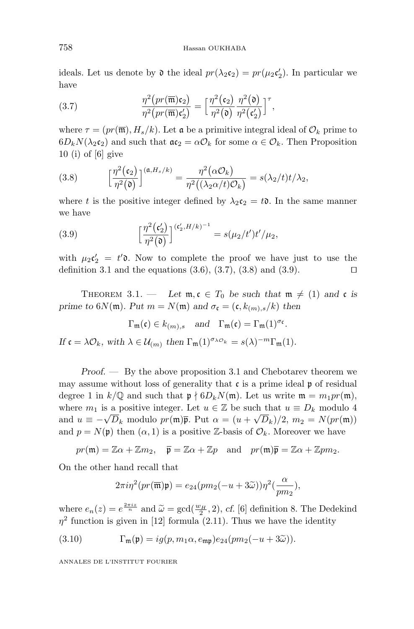ideals. Let us denote by  $\mathfrak d$  the ideal  $pr(\lambda_2 \mathfrak c_2) = pr(\mu_2 \mathfrak c_2')$ . In particular we have

(3.7) 
$$
\frac{\eta^2 \left( pr(\overline{\mathfrak{m}}) \mathfrak{c}_2 \right)}{\eta^2 \left( pr(\overline{\mathfrak{m}}) \mathfrak{c}_2' \right)} = \left[ \frac{\eta^2 (\mathfrak{c}_2)}{\eta^2 (\mathfrak{d})} \frac{\eta^2 (\mathfrak{d})}{\eta^2 (\mathfrak{c}_2')} \right]^{\tau},
$$

where  $\tau = (pr(\overline{\mathfrak{m}}), H_s/k)$ . Let **a** be a primitive integral ideal of  $\mathcal{O}_k$  prime to  $6D_kN(\lambda_2\mathfrak{c}_2)$  and such that  $\mathfrak{a}\mathfrak{c}_2 = \alpha\mathcal{O}_k$  for some  $\alpha \in \mathcal{O}_k$ . Then Proposition 10 (i) of [6] give

(3.8) 
$$
\left[\frac{\eta^2(\mathfrak{c}_2)}{\eta^2(\mathfrak{d})}\right]^{(\mathfrak{a},H_s/k)} = \frac{\eta^2(\alpha \mathcal{O}_k)}{\eta^2((\lambda_2 \alpha/t)\mathcal{O}_k)} = s(\lambda_2/t)t/\lambda_2,
$$

where *t* is the positive integer defined by  $\lambda_2 c_2 = t\mathfrak{d}$ . In the same manner we have

(3.9) 
$$
\left[\frac{\eta^{2}(\mathfrak{c}'_{2})}{\eta^{2}(\mathfrak{d})}\right]^{(\mathfrak{c}'_{2},H/k)^{-1}} = s(\mu_{2}/t')t'/\mu_{2},
$$

with  $\mu_2 c'_2 = t' \mathfrak{d}$ . Now to complete the proof we have just to use the definition 3.1 and the equations  $(3.6), (3.7), (3.8)$  and  $(3.9)$ .

THEOREM 3.1. — Let  $\mathfrak{m}, \mathfrak{c} \in T_0$  be such that  $\mathfrak{m} \neq (1)$  and  $\mathfrak{c}$  is *prime to*  $6N(\mathfrak{m})$ *. Put*  $m = N(\mathfrak{m})$  *and*  $\sigma_{\mathfrak{c}} = (\mathfrak{c}, k_{(m),s}/k)$  *then* 

$$
\Gamma_{\mathfrak{m}}(\mathfrak{c}) \in k_{(m),s}
$$
 and  $\Gamma_{\mathfrak{m}}(\mathfrak{c}) = \Gamma_{\mathfrak{m}}(1)^{\sigma_{\mathfrak{c}}}.$ 

*If*  $\mathfrak{c} = \lambda \mathcal{O}_k$ *, with*  $\lambda \in \mathcal{U}_{(m)}$  *then*  $\Gamma_{\mathfrak{m}}(1)^{\sigma_{\lambda} \mathcal{O}_k} = s(\lambda)^{-m} \Gamma_{\mathfrak{m}}(1)$ *.* 

*Proof. —* By the above proposition 3.1 and Chebotarev theorem we may assume without loss of generality that  $\mathfrak c$  is a prime ideal  $\mathfrak p$  of residual degree 1 in  $k/\mathbb{Q}$  and such that  $\mathfrak{p} \nmid 6D_kN(\mathfrak{m})$ . Let us write  $\mathfrak{m} = m_1pr(\mathfrak{m})$ , where  $m_1$  is a positive integer. Let  $u \in \mathbb{Z}$  be such that  $u \equiv D_k$  modulo 4 and  $u \equiv -\sqrt{D_k}$  modulo  $pr(\mathfrak{m})\bar{\mathfrak{p}}$ . Put  $\alpha = (u + \sqrt{D_k})/2$ ,  $m_2 = N(pr(\mathfrak{m}))$ and  $p = N(\mathfrak{p})$  then  $(\alpha, 1)$  is a positive Z-basis of  $\mathcal{O}_k$ . Moreover we have

$$
pr(\mathfrak{m}) = \mathbb{Z}\alpha + \mathbb{Z}m_2
$$
,  $\overline{\mathfrak{p}} = \mathbb{Z}\alpha + \mathbb{Z}p$  and  $pr(\mathfrak{m})\overline{\mathfrak{p}} = \mathbb{Z}\alpha + \mathbb{Z}pm_2$ .

On the other hand recall that

$$
2\pi i\eta^2(pr(\overline{\mathfrak{m}})\mathfrak{p})=e_{24}(pm_2(-u+3\widetilde{\omega}))\eta^2(\frac{\alpha}{pm_2}),
$$

where  $e_n(z) = e^{\frac{2\pi i z}{n}}$  and  $\tilde{\omega} = \gcd(\frac{w_H}{2}, 2)$ , *cf.* [6] definition 8. The Dedekind  $n^2$  function is given in [12] formula (2.11). Thus we have the identity  $\eta^2$  function is given in [12] formula (2.11). Thus we have the identity

(3.10) 
$$
\Gamma_{\mathfrak{m}}(\mathfrak{p}) = ig(p, m_1 \alpha, e_{\mathfrak{m} \mathfrak{p}}) e_{24}(pm_2(-u+3\widetilde{\omega})).
$$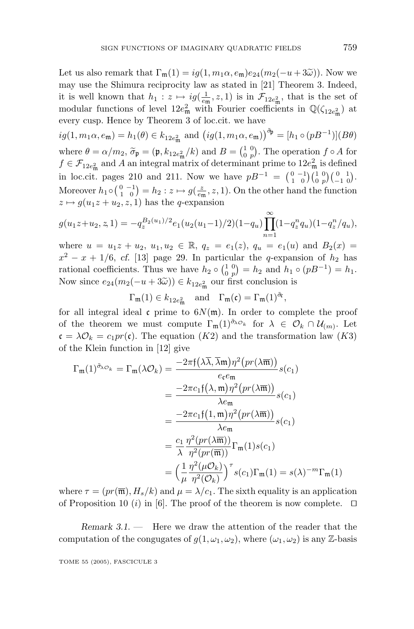Let us also remark that  $\Gamma_m(1) = iq(1, m_1\alpha, e_m)e_{24}(m_2(-u+3\tilde{\omega}))$ . Now we may use the Shimura reciprocity law as stated in [21] Theorem 3. Indeed, it is well known that  $h_1: z \mapsto ig(\frac{1}{e_{\mathfrak{m}}}, z, 1)$  is in  $\mathcal{F}_{12e_{\mathfrak{m}}^2}$ , that is the set of modular functions of level  $12e_{\text{m}}^2$  with Fourier coefficients in  $\mathbb{Q}(\zeta_{12e_{\text{m}}^2})$  at every cusp. Hence by Theorem 3 of loc.cit. we have

 $ig(1, m_1\alpha, e_{\mathfrak{m}}) = h_1(\theta) \in k_{12e_{\mathfrak{m}}^2}$  and  $ig(1, m_1\alpha, e_{\mathfrak{m}})\big)^{\tilde{\sigma}_{\mathfrak{p}}} = [h_1 \circ (pB^{-1})](B\theta)$ where  $\theta = \alpha/m_2$ ,  $\tilde{\sigma}_{\mathfrak{p}} = (\mathfrak{p}, k_{12e_{\mathfrak{m}}^2}/k)$  and  $B = \begin{pmatrix} 1 & 0 \\ 0 & p \end{pmatrix}$ . The operation  $f \circ A$  for  $f \in \mathcal{F}_{\alpha, \beta}$  and *A* an integral matrix of determinant prime to  $12e^2$  is defined  $f \in \mathcal{F}_{12e_{\text{m}}^2}$  and *A* an integral matrix of determinant prime to  $12e_{\text{m}}^2$  is defined in loc.cit. pages 210 and 211. Now we have  $pB^{-1} = \begin{pmatrix} 0 & -1 \\ 1 & 0 \end{pmatrix} \begin{pmatrix} 1 & 0 \\ 0 & p \end{pmatrix} \begin{pmatrix} 0 & 1 \\ -1 & 0 \end{pmatrix}$ . Moreover  $h_1 \circ {0 \choose 1 \ 0} = h_2 : z \mapsto g(\frac{z}{e_{\mathfrak{m}}}, z, 1)$ . On the other hand the function  $z \mapsto g(u_1z + u_2, z, 1)$  has the *q*-expansion

$$
g(u_1z+u_2, z, 1) = -q_z^{B_2(u_1)/2} e_1(u_2(u_1-1)/2)(1-q_u) \prod_{n=1}^{\infty} (1-q_z^n q_u)(1-q_z^n/q_u),
$$

where  $u = u_1 z + u_2, u_1, u_2 \in \mathbb{R}, q_z = e_1(z), q_u = e_1(u)$  and  $B_2(x) =$  $x^2 - x + 1/6$ , *cf.* [13] page 29. In particular the *q*-expansion of  $h_2$  has rational coefficients. Thus we have  $h_2 \circ {1 \choose 0} = h_2$  and  $h_1 \circ (pB^{-1}) = h_1$ . Now since  $e_{24}(m_2(-u+3\tilde{\omega})) \in k_{12}e_{m}^2$  our first conclusion is

 $\Gamma_{\mathfrak{m}}(1) \in k_{12e_{\mathfrak{m}}^2}$  and  $\Gamma_{\mathfrak{m}}(\mathfrak{c}) = \Gamma_{\mathfrak{m}}(1)^{\tilde{\sigma}_{\mathfrak{c}}},$ 

for all integral ideal  $\mathfrak{c}$  prime to  $6N(\mathfrak{m})$ . In order to complete the proof of the theorem we must compute  $\Gamma_{\mathfrak{m}}(1)^{\tilde{\sigma}_{\lambda} \mathcal{O}_k}$  for  $\lambda \in \mathcal{O}_k \cap \mathcal{U}_{(m)}$ . Let  $\mathfrak{c} = \lambda \mathcal{O}_k = c_1 pr(\mathfrak{c})$ . The equation  $(K2)$  and the transformation law  $(K3)$ of the Klein function in [12] give

$$
\Gamma_{\mathfrak{m}}(1)^{\tilde{\sigma}_{\lambda} \sigma_{k}} = \Gamma_{\mathfrak{m}}(\lambda \mathcal{O}_{k}) = \frac{-2\pi f(\lambda \overline{\lambda}, \overline{\lambda} \mathfrak{m}) \eta^{2} (pr(\lambda \overline{\mathfrak{m}}))}{e_{\mathfrak{c}} e_{\mathfrak{m}} s(c_{1})}
$$
\n
$$
= \frac{-2\pi c_{1} f(\lambda, \mathfrak{m}) \eta^{2} (pr(\lambda \overline{\mathfrak{m}}))}{\lambda e_{\mathfrak{m}}} s(c_{1})}
$$
\n
$$
= \frac{-2\pi c_{1} f(1, \mathfrak{m}) \eta^{2} (pr(\lambda \overline{\mathfrak{m}}))}{\lambda e_{\mathfrak{m}}} s(c_{1})}
$$
\n
$$
= \frac{c_{1}}{\lambda} \frac{\eta^{2} (pr(\lambda \overline{\mathfrak{m}}))}{\eta^{2} (pr(\overline{\mathfrak{m}}))} \Gamma_{\mathfrak{m}}(1) s(c_{1})
$$
\n
$$
= \left(\frac{1}{\mu} \frac{\eta^{2} (\mu \mathcal{O}_{k})}{\eta^{2} (\mathcal{O}_{k})}\right)^{r} s(c_{1}) \Gamma_{\mathfrak{m}}(1) = s(\lambda)^{-m} \Gamma_{\mathfrak{m}}(1)
$$

where  $\tau = (pr(\overline{\mathfrak{m}}), H_s/k)$  and  $\mu = \lambda/c_1$ . The sixth equality is an application of Proposition 10 (*i*) in [6]. The proof of the theorem is now complete.  $\Box$ 

*Remark 3.1*. — Here we draw the attention of the reader that the computation of the congugates of  $g(1, \omega_1, \omega_2)$ , where  $(\omega_1, \omega_2)$  is any Z-basis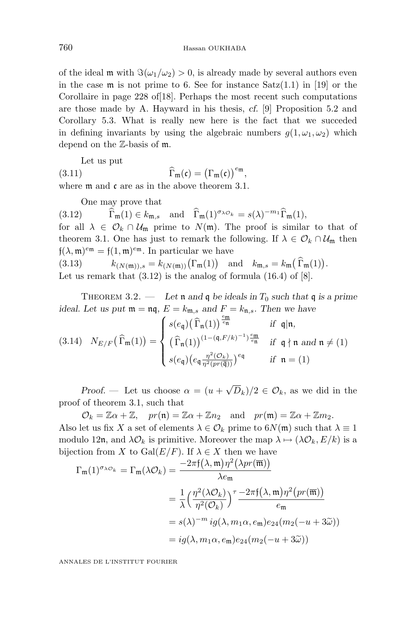of the ideal m with  $\Im(\omega_1/\omega_2) > 0$ , is already made by several authors even in the case  $\mathfrak m$  is not prime to 6. See for instance  $Satz(1.1)$  in [19] or the Corollaire in page 228 of[18]. Perhaps the most recent such computations are those made by A. Hayward in his thesis, *cf.* [9] Proposition 5.2 and Corollary 5.3. What is really new here is the fact that we succeded in defining invariants by using the algebraic numbers  $g(1, \omega_1, \omega_2)$  which depend on the Z-basis of m.

Let us put

(3*.*11) <sup>Γ</sup>- ${\bf m}({\mathfrak{c}})=\big(\Gamma_{{\mathfrak{m}}}({\mathfrak{c}})\big)^{e_{{\mathfrak{m}}}},$ where  $\mathfrak m$  and  $\mathfrak c$  are as in the above theorem 3.1.

One may prove that

(3*.*12) <sup>Γ</sup>- $\mathbf{m}(1) \in k_{\mathfrak{m},s}$  and  $\mathbf{\hat{\Gamma}}_{\mathfrak{m}}(1)^{\sigma_{\lambda}\mathcal{O}_{k}} = s(\lambda)^{-m_{1}} \mathbf{\hat{\Gamma}}_{\mathfrak{m}}(1),$ for all  $\lambda \in \mathcal{O}_k \cap \mathcal{U}_m$  prime to  $N(m)$ . The proof is similar to that of theorem 3.1. One has just to remark the following. If  $\lambda \in \mathcal{O}_k \cap \mathcal{U}_{m}$  then  $f(\lambda, m)^{em} = f(1, m)^{em}$ . In particular we have

(3.13)  $k_{(N(\mathfrak{m})),s} = k_{(N(\mathfrak{m}))}(\Gamma_{\mathfrak{m}}(1))$  and  $k_{\mathfrak{m},s} = k_{\mathfrak{m}}(\Gamma_{\mathfrak{m}}(1)).$ Let us remark that  $(3.12)$  is the analog of formula  $(16.4)$  of  $[8]$ .

THEOREM 3.2. — Let **n** and **q** be ideals in  $T_0$  such that **q** is a prime *ideal. Let us put*  $\mathfrak{m} = \mathfrak{n}\mathfrak{q}$ ,  $E = k_{\mathfrak{m},s}$  *and*  $F = k_{\mathfrak{n},s}$ *. Then we have* 

$$
(3.14) \quad N_{E/F}(\widehat{\Gamma}_{\mathfrak{m}}(1)) = \begin{cases} s(e_{\mathfrak{q}}) \big( \widehat{\Gamma}_{\mathfrak{n}}(1) \big)^{\frac{e_{\mathfrak{m}}}{e_{\mathfrak{n}}}} & \text{if } \mathfrak{q}|\mathfrak{n}, \\ \big( \widehat{\Gamma}_{\mathfrak{n}}(1) \big)^{(1 - (\mathfrak{q}, F/k)^{-1}) \frac{e_{\mathfrak{m}}}{e_{\mathfrak{n}}}} & \text{if } \mathfrak{q} \nmid \mathfrak{n} \text{ and } \mathfrak{n} \neq (1) \\ s(e_{\mathfrak{q}}) \big( e_{\mathfrak{q}} \frac{\eta^2(\mathcal{O}_k)}{\eta^2(pr(\overline{\mathfrak{q}}))} \big)^{e_{\mathfrak{q}}} & \text{if } \mathfrak{n} = (1) \end{cases}
$$

*Proof.* — Let us choose  $\alpha = (u + \sqrt{D_k})/2 \in \mathcal{O}_k$ , as we did in the proof of theorem 3.1, such that

 $\mathcal{O}_k = \mathbb{Z}\alpha + \mathbb{Z}, \quad pr(\mathfrak{n}) = \mathbb{Z}\alpha + \mathbb{Z}n_2 \quad \text{and} \quad pr(\mathfrak{m}) = \mathbb{Z}\alpha + \mathbb{Z}m_2.$ Also let us fix *X* a set of elements  $\lambda \in \mathcal{O}_k$  prime to  $6N(\mathfrak{m})$  such that  $\lambda \equiv 1$ modulo 12n, and  $\lambda \mathcal{O}_k$  is primitive. Moreover the map  $\lambda \mapsto (\lambda \mathcal{O}_k, E/k)$  is a bijection from *X* to  $Gal(E/F)$ . If  $\lambda \in X$  then we have

$$
\Gamma_{\mathfrak{m}}(1)^{\sigma_{\lambda}\phi_{k}} = \Gamma_{\mathfrak{m}}(\lambda \mathcal{O}_{k}) = \frac{-2\pi f(\lambda, \mathfrak{m})\eta^{2}(\lambda pr(\overline{\mathfrak{m}}))}{\lambda e_{\mathfrak{m}}}
$$

$$
= \frac{1}{\lambda} \Big(\frac{\eta^{2}(\lambda \mathcal{O}_{k})}{\eta^{2}(\mathcal{O}_{k})}\Big)^{\tau} \frac{-2\pi f(\lambda, \mathfrak{m})\eta^{2}(pr(\overline{\mathfrak{m}}))}{e_{\mathfrak{m}}}
$$

$$
= s(\lambda)^{-m} ig(\lambda, m_{1}\alpha, e_{\mathfrak{m}})e_{24}(m_{2}(-u+3\tilde{\omega}))
$$

$$
= ig(\lambda, m_{1}\alpha, e_{\mathfrak{m}})e_{24}(m_{2}(-u+3\tilde{\omega}))
$$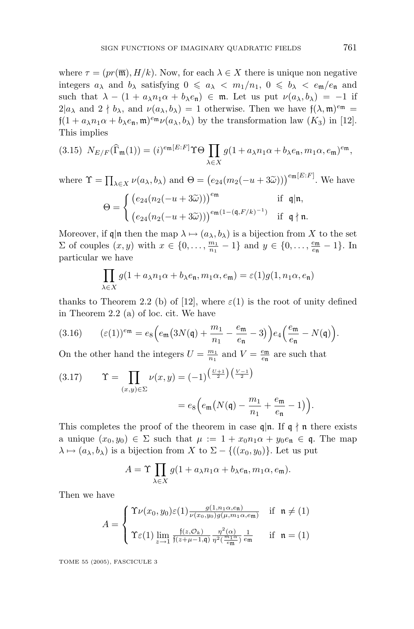where  $\tau = (pr(\overline{\mathfrak{m}}), H/k)$ . Now, for each  $\lambda \in X$  there is unique non negative integers  $a_{\lambda}$  and  $b_{\lambda}$  satisfying  $0 \le a_{\lambda} < m_1/n_1$ ,  $0 \le b_{\lambda} < e_{\mathfrak{m}}/e_{\mathfrak{n}}$  and such that  $\lambda - (1 + a_{\lambda}n_1\alpha + b_{\lambda}e_n) \in \mathfrak{m}$ . Let us put  $\nu(a_{\lambda},b_{\lambda}) = -1$  if  $2|a_{\lambda}$  and  $2 \nmid b_{\lambda}$ , and  $\nu(a_{\lambda},b_{\lambda})=1$  otherwise. Then we have  $f(\lambda,\mathfrak{m})^{em}$  =  $f(1 + a_\lambda n_1 \alpha + b_\lambda e_\mathfrak{n}, \mathfrak{m})^{e_\mathfrak{m}} \nu(a_\lambda, b_\lambda)$  by the transformation law  $(K_3)$  in [12]. This implies

(3.15) 
$$
N_{E/F}(\widehat{\Gamma}_{\mathfrak{m}}(1)) = (i)^{e_{\mathfrak{m}}[E:F]} \Upsilon \Theta \prod_{\lambda \in X} g(1 + a_{\lambda}n_1\alpha + b_{\lambda}e_{\mathfrak{n}}, m_1\alpha, e_{\mathfrak{m}})^{e_{\mathfrak{m}}},
$$

where  $\Upsilon = \prod_{\lambda \in X} \nu(a_{\lambda}, b_{\lambda})$  and  $\Theta = (e_{24}(m_2(-u+3\tilde{\omega})))^{e_{\mathfrak{m}}[E:F]}$ . We have

$$
\Theta = \begin{cases} \left( e_{24}(n_2(-u+3\widetilde{\omega})) \right)^{e_{\mathfrak{m}}} & \text{if } \mathfrak{q}|\mathfrak{n}, \\ \left( e_{24}(n_2(-u+3\widetilde{\omega})) \right)^{e_{\mathfrak{m}}(1-(\mathfrak{q},F/k)^{-1})} & \text{if } \mathfrak{q} \nmid \mathfrak{n}. \end{cases}
$$

Moreover, if  $\mathfrak{q}|\mathfrak{n}$  then the map  $\lambda \mapsto (a_{\lambda}, b_{\lambda})$  is a bijection from X to the set  $Σ$  of couples  $(x, y)$  with  $x \in \{0, ..., \frac{m_1}{n_1} - 1\}$  and  $y \in \{0, ..., \frac{e_m}{e_n} - 1\}$ . In particular we have

$$
\prod_{\lambda \in X} g(1 + a_{\lambda} n_1 \alpha + b_{\lambda} e_{\mathfrak{n}}, m_1 \alpha, e_{\mathfrak{m}}) = \varepsilon(1) g(1, n_1 \alpha, e_{\mathfrak{n}})
$$

thanks to Theorem 2.2 (b) of [12], where  $\varepsilon(1)$  is the root of unity defined in Theorem 2.2 (a) of loc. cit. We have

(3.16) 
$$
(\varepsilon(1))^{\varepsilon m} = e_8 \Big(e_m \big(3N(\mathfrak{q}) + \frac{m_1}{n_1} - \frac{e_m}{e_n} - 3\big)\Big)e_4\Big(\frac{e_m}{e_n} - N(\mathfrak{q})\Big).
$$

On the other hand the integers  $U = \frac{m_1}{n_1}$  and  $V = \frac{e_m}{e_n}$  are such that

(3.17) 
$$
\Upsilon = \prod_{(x,y)\in\Sigma} \nu(x,y) = (-1)^{\left(\frac{U+1}{2}\right)\left(\frac{V-1}{2}\right)} = e_8 \Big(e_{\text{m}}\big(N(\mathfrak{q}) - \frac{m_1}{n_1} + \frac{e_{\text{m}}}{e_{\text{n}}} - 1\big)\Big).
$$

This completes the proof of the theorem in case  $\mathfrak{q}|\mathfrak{n}$ . If  $\mathfrak{q} \nmid \mathfrak{n}$  there exists a unique  $(x_0, y_0) \in \Sigma$  such that  $\mu := 1 + x_0 n_1 \alpha + y_0 e_n \in \mathfrak{q}$ . The map  $\lambda \mapsto (a_{\lambda}, b_{\lambda})$  is a bijection from *X* to  $\Sigma - \{((x_0, y_0)\}\)$ . Let us put

$$
A = \Upsilon \prod_{\lambda \in X} g(1 + a_{\lambda} n_1 \alpha + b_{\lambda} e_{\mathfrak{n}}, m_1 \alpha, e_{\mathfrak{m}}).
$$

Then we have

$$
A = \begin{cases} \Upsilon \nu(x_0, y_0) \varepsilon(1) \frac{g(1, n_1 \alpha, e_{\mathfrak{n}})}{\nu(x_0, y_0) g(\mu, m_1 \alpha, e_{\mathfrak{m}})} & \text{if } \mathfrak{n} \neq (1) \\ \Upsilon \varepsilon(1) \lim_{z \to 1} \frac{\mathfrak{f}(z, \mathcal{O}_k)}{\mathfrak{f}(z + \mu - 1, \mathfrak{q})} \frac{\eta^2(\alpha)}{\eta^2(\frac{m_1 \alpha}{e_{\mathfrak{m}}})} \frac{1}{e_{\mathfrak{m}}} & \text{if } \mathfrak{n} = (1) \end{cases}
$$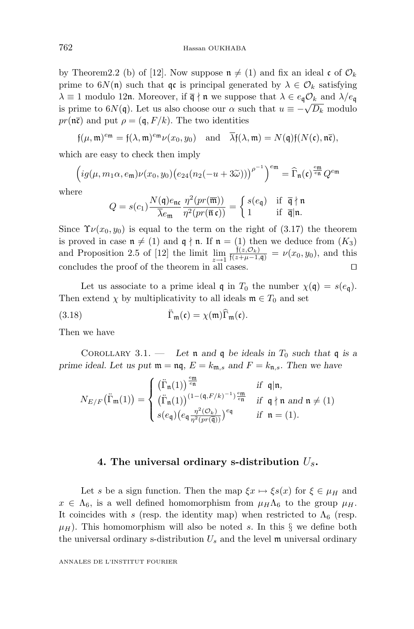by Theorem 2.2 (b) of [12]. Now suppose  $\mathfrak{n} \neq (1)$  and fix an ideal c of  $\mathcal{O}_k$ prime to  $6N(\mathfrak{n})$  such that  $\mathfrak{q}c$  is principal generated by  $\lambda \in \mathcal{O}_k$  satisfying  $\lambda \equiv 1$  modulo 12n. Moreover, if  $\overline{q} \nmid n$  we suppose that  $\lambda \in e_{q} \mathcal{O}_{k}$  and  $\lambda/e_{q}$ is prime to  $6N(\mathfrak{q})$ . Let us also choose our  $\alpha$  such that  $u \equiv -\sqrt{D_k}$  modulo  $pr(\overline{\mathfrak{n}\mathfrak{c}})$  and put  $\rho = (\mathfrak{q}, F/k)$ . The two identities

$$
\mathfrak{f}(\mu,\mathfrak{m})^{em} = \mathfrak{f}(\lambda,\mathfrak{m})^{em} \nu(x_0,y_0) \text{ and } \overline{\lambda} \mathfrak{f}(\lambda,\mathfrak{m}) = N(\mathfrak{q}) \mathfrak{f}(N(\mathfrak{c}),\mathfrak{n}\overline{\mathfrak{c}}),
$$

which are easy to check then imply

$$
\left(ig(\mu, m_1\alpha, e_{\mathfrak{m}})\nu(x_0, y_0)\left(e_{24}(n_2(-u+3\widetilde{\omega}))\right)^{\rho^{-1}}\right)^{e_{\mathfrak{m}}} = \widehat{\Gamma}_{\mathfrak{n}}(\mathfrak{c})^{\frac{e_{\mathfrak{m}}}{e_{\mathfrak{n}}}Q^{e_{\mathfrak{m}}}
$$

where

$$
Q = s(c_1) \frac{N(\mathfrak{q}) e_{\mathfrak{n} \mathfrak{c}}}{\overline{\lambda} e_{\mathfrak{m}}} \frac{\eta^2(pr(\overline{\mathfrak{m}}))}{\eta^2(pr(\overline{\mathfrak{n}} \mathfrak{c}))} = \begin{cases} s(e_{\mathfrak{q}}) & \text{if } \overline{\mathfrak{q}} \nmid \mathfrak{n} \\ 1 & \text{if } \overline{\mathfrak{q}} \mid \mathfrak{n}. \end{cases}
$$

Since  $\Upsilon \nu(x_0, y_0)$  is equal to the term on the right of (3.17) the theorem is proved in case  $\mathfrak{n} \neq (1)$  and  $\mathfrak{q} \nmid \mathfrak{n}$ . If  $\mathfrak{n} = (1)$  then we deduce from  $(K_3)$ and Proposition 2.5 of [12] the limit  $\lim_{z \to 1} \frac{f(z, O_k)}{f(z + \mu - 1, q)} = \nu(x_0, y_0)$ , and this concludes the proof of the theorem in all cases.  $\Box$ 

Let us associate to a prime ideal  $\mathfrak{q}$  in  $T_0$  the number  $\chi(\mathfrak{q}) = s(e_{\mathfrak{q}})$ . Then extend  $\chi$  by multiplicativity to all ideals  $\mathfrak{m} \in T_0$  and set

(3.18) 
$$
\ddot{\Gamma}_{\mathfrak{m}}(\mathfrak{c}) = \chi(\mathfrak{m}) \widehat{\Gamma}_{\mathfrak{m}}(\mathfrak{c}).
$$

Then we have

COROLLARY 3.1. — Let **n** and **q** be ideals in  $T_0$  such that **q** is a *prime ideal. Let us put*  $\mathfrak{m} = \mathfrak{n} \mathfrak{q}$ ,  $E = k_{\mathfrak{m},s}$  *and*  $F = k_{\mathfrak{n},s}$ *. Then we have* 

$$
N_{E/F}\left(\ddot{\Gamma}_{\mathfrak{m}}(1)\right) = \begin{cases} \left(\ddot{\Gamma}_{\mathfrak{n}}(1)\right)^{\frac{\epsilon_{\mathfrak{m}}}{\epsilon_{\mathfrak{n}}}} & \text{if } \mathfrak{q}|\mathfrak{n}, \\ \left(\ddot{\Gamma}_{\mathfrak{n}}(1)\right)^{(1-(\mathfrak{q},F/k)^{-1})\frac{\epsilon_{\mathfrak{m}}}{\epsilon_{\mathfrak{n}}}} & \text{if } \mathfrak{q} \nmid \mathfrak{n} \text{ and } \mathfrak{n} \neq (1) \\ s(\mathfrak{e}_{\mathfrak{q}}) \big(\mathfrak{e}_{\mathfrak{q}} \frac{\eta^2(\mathcal{O}_k)}{\eta^2(pr(\overline{\mathfrak{q}}))}\big)^{\epsilon_{\mathfrak{q}}} & \text{if } \mathfrak{n} = (1). \end{cases}
$$

#### **4. The universal ordinary s-distribution** U*s***.**

Let *s* be a sign function. Then the map  $\xi x \mapsto \xi s(x)$  for  $\xi \in \mu_H$  and  $x \in \Lambda_6$ , is a well defined homomorphism from  $\mu_H \Lambda_6$  to the group  $\mu_H$ . It coincides with *s* (resp. the identity map) when restricted to  $\Lambda_6$  (resp.  $\mu$ <sup>H</sup>). This homomorphism will also be noted *s*. In this  $\S$  we define both the universal ordinary s-distribution  $U_s$  and the level  $\mathfrak m$  universal ordinary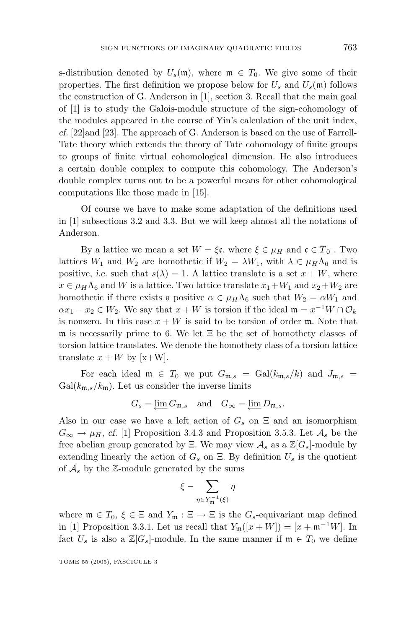s-distribution denoted by  $U_s(\mathfrak{m})$ , where  $\mathfrak{m} \in T_0$ . We give some of their properties. The first definition we propose below for  $U_s$  and  $U_s(\mathfrak{m})$  follows the construction of G. Anderson in [1], section 3. Recall that the main goal of [1] is to study the Galois-module structure of the sign-cohomology of the modules appeared in the course of Yin's calculation of the unit index, *cf.* [22]and [23]. The approach of G. Anderson is based on the use of Farrell-Tate theory which extends the theory of Tate cohomology of finite groups to groups of finite virtual cohomological dimension. He also introduces a certain double complex to compute this cohomology. The Anderson's double complex turns out to be a powerful means for other cohomological computations like those made in [15].

Of course we have to make some adaptation of the definitions used in [1] subsections 3.2 and 3.3. But we will keep almost all the notations of Anderson.

By a lattice we mean a set  $W = \xi \mathfrak{c}$ , where  $\xi \in \mu_H$  and  $\mathfrak{c} \in \overline{T}_0$ . Two lattices  $W_1$  and  $W_2$  are homothetic if  $W_2 = \lambda W_1$ , with  $\lambda \in \mu_H \Lambda_6$  and is positive, *i.e.* such that  $s(\lambda) = 1$ . A lattice translate is a set  $x + W$ , where  $x \in \mu_H \Lambda_6$  and *W* is a lattice. Two lattice translate  $x_1 + W_1$  and  $x_2 + W_2$  are homothetic if there exists a positive  $\alpha \in \mu_H \Lambda_6$  such that  $W_2 = \alpha W_1$  and  $\alpha x_1 - x_2 \in W_2$ . We say that  $x + W$  is torsion if the ideal  $\mathfrak{m} = x^{-1}W \cap \mathcal{O}_k$ is nonzero. In this case  $x + W$  is said to be torsion of order m. Note that m is necessarily prime to 6. We let Ξ be the set of homothety classes of torsion lattice translates. We denote the homothety class of a torsion lattice translate  $x + W$  by [x+W].

For each ideal  $\mathfrak{m} \in T_0$  we put  $G_{\mathfrak{m},s} = \text{Gal}(k_{\mathfrak{m},s}/k)$  and  $J_{\mathfrak{m},s} =$  $Gal(k_{m,s}/k_m)$ . Let us consider the inverse limits

$$
G_s = \underleftarrow{\lim} G_{\mathfrak{m},s} \quad \text{and} \quad G_\infty = \underleftarrow{\lim} D_{\mathfrak{m},s}.
$$

Also in our case we have a left action of  $G_s$  on  $\Xi$  and an isomorphism  $G_{\infty} \rightarrow \mu_H$ , *cf.* [1] Proposition 3.4.3 and Proposition 3.5.3. Let  $\mathcal{A}_s$  be the free abelian group generated by Ξ. We may view  $\mathcal{A}_s$  as a  $\mathbb{Z}[G_s]$ -module by extending linearly the action of  $G_s$  on  $\Xi$ . By definition  $U_s$  is the quotient of  $A_s$  by the  $\mathbb{Z}$ -module generated by the sums

$$
\xi - \sum_{\eta \in Y_{\mathfrak{m}}^{-1}(\xi)} \eta
$$

where  $\mathfrak{m} \in T_0$ ,  $\xi \in \Xi$  and  $Y_{\mathfrak{m}} : \Xi \to \Xi$  is the  $G_s$ -equivariant map defined in [1] Proposition 3.3.1. Let us recall that  $Y_{\mathfrak{m}}([x+W]) = [x + \mathfrak{m}^{-1}W]$ . In fact  $U_s$  is also a  $\mathbb{Z}[G_s]$ -module. In the same manner if  $\mathfrak{m} \in T_0$  we define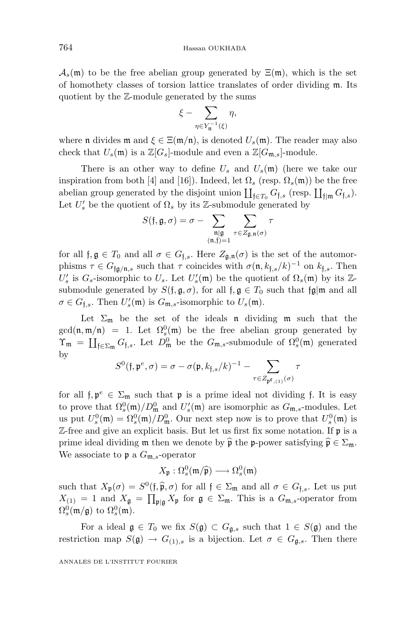$\mathcal{A}_s(\mathfrak{m})$  to be the free abelian group generated by  $\Xi(\mathfrak{m})$ , which is the set of homothety classes of torsion lattice translates of order dividing m. Its quotient by the Z-module generated by the sums

$$
\xi - \sum_{\eta \in Y_{\mathfrak{n}}^{-1}(\xi)} \eta,
$$

where **n** divides **m** and  $\xi \in \Xi(\mathfrak{m}/\mathfrak{n})$ , is denoted  $U_s(\mathfrak{m})$ . The reader may also check that  $U_s(\mathfrak{m})$  is a  $\mathbb{Z}[G_s]$ -module and even a  $\mathbb{Z}[G_{\mathfrak{m},s}]$ -module.

There is an other way to define  $U_s$  and  $U_s(\mathfrak{m})$  (here we take our inspiration from both [4] and [16]). Indeed, let  $\Omega_s$  (resp.  $\Omega_s(\mathfrak{m})$ ) be the free abelian group generated by the disjoint union  $\coprod_{f \in T_0} G_{f,s}$  (resp.  $\coprod_{f \mid m} G_{f,s}$ ). Let  $U'_s$  be the quotient of  $\Omega_s$  by its Z-submodule generated by

$$
S(\mathfrak{f}, \mathfrak{g}, \sigma) = \sigma - \sum_{\substack{\mathfrak{n} \mid \mathfrak{g} \\ (\mathfrak{n}, \mathfrak{f}) = 1}} \sum_{\tau \in Z_{\mathfrak{g}, \mathfrak{n}}(\sigma)} \tau
$$

for all  $f, g \in T_0$  and all  $\sigma \in G_{f,s}$ . Here  $Z_{g,n}(\sigma)$  is the set of the automorphisms  $\tau \in G_{\text{fq/n},s}$  such that  $\tau$  coincides with  $\sigma(\mathfrak{n}, k_{\text{f},s}/k)^{-1}$  on  $k_{\text{f},s}$ . Then  $U_s$  is  $G_s$ -isomorphic to  $U_s$ . Let  $U_s'(\mathfrak{m})$  be the quotient of  $\Omega_s(\mathfrak{m})$  by its Zsubmodule generated by  $S(f, \mathfrak{g}, \sigma)$ , for all  $f, \mathfrak{g} \in T_0$  such that  $\mathfrak{fg}|\mathfrak{m}$  and all  $\sigma \in G_{\mathfrak{f},s}$ . Then  $U'_{s}(\mathfrak{m})$  is  $G_{\mathfrak{m},s}$ -isomorphic to  $U_{s}(\mathfrak{m})$ .

Let  $\Sigma_{\mathfrak{m}}$  be the set of the ideals **n** dividing **m** such that the  $gcd(\mathfrak{n}, \mathfrak{m}/\mathfrak{n}) = 1$ . Let  $\Omega_s^0(\mathfrak{m})$  be the free abelian group generated by  $\Upsilon_{\mathfrak{m}} = \coprod_{\mathfrak{f} \in \Sigma_{\mathfrak{m}}} G_{\mathfrak{f},s}$ . Let  $D_{\mathfrak{m}}^0$  be the  $G_{\mathfrak{m},s}$ -submodule of  $\Omega_s^0(\mathfrak{m})$  generated by

$$
S^{0}(\mathfrak{f},\mathfrak{p}^{e},\sigma)=\sigma-\sigma(\mathfrak{p},k_{\mathfrak{f},s}/k)^{-1}-\sum_{\tau\in Z_{\mathfrak{p}^{\mathfrak{e}},(1)}(\sigma)}\tau
$$

for all  $f, p^e \in \Sigma_m$  such that p is a prime ideal not dividing f. It is easy to prove that  $\Omega_s^0(\mathfrak{m})/D_{\mathfrak{m}}^0$  and  $U_s'(\mathfrak{m})$  are isomorphic as  $G_{\mathfrak{m},s}$ -modules. Let us put  $U_s^0(\mathfrak{m})=\Omega_s^0(\mathfrak{m})/D_{\mathfrak{m}}^0$ . Our next step now is to prove that  $U_s^0(\mathfrak{m})$  is  $\mathbb{Z}$ -free and give an explicit basis. But let us first fix some notation. If  $\mathfrak{p}$  is a prime ideal dividing  $\mathfrak{m}$  then we denote by  $\hat{\mathfrak{p}}$  the p-power satisfying  $\hat{\mathfrak{p}} \in \Sigma_{\mathfrak{m}}$ .<br>We associate to  $\mathfrak{m} \circ G$  associate. We associate to p a *G*m*,s*-operator

$$
X_{\mathfrak{p}} : \Omega_s^0(\mathfrak{m}/\widehat{\mathfrak{p}}) \longrightarrow \Omega_s^0(\mathfrak{m})
$$

such that  $X_p(\sigma) = S^0(f, \hat{p}, \sigma)$  for all  $f \in \Sigma_m$  and all  $\sigma \in G_{f,s}$ . Let us put  $Y_p = 1$  and  $Y_p = \overline{Y}_p$  for  $g \in \Sigma_p$ . This is a  $C_p$  connector from  $X_{(1)} = 1$  and  $X_{\mathfrak{g}} = \prod_{\mathfrak{p} | \mathfrak{g}} X_{\mathfrak{p}}$  for  $\mathfrak{g} \in \Sigma_{\mathfrak{m}}$ . This is a  $G_{\mathfrak{m},s}$ -operator from  $\Omega_s^0(\mathfrak{m}/\mathfrak{g})$  to  $\Omega_s^0(\mathfrak{m})$ .

For a ideal  $\mathfrak{g} \in T_0$  we fix  $S(\mathfrak{g}) \subset G_{\mathfrak{g},s}$  such that  $1 \in S(\mathfrak{g})$  and the restriction map  $S(\mathfrak{g}) \to G_{(1),s}$  is a bijection. Let  $\sigma \in G_{\mathfrak{g},s}$ . Then there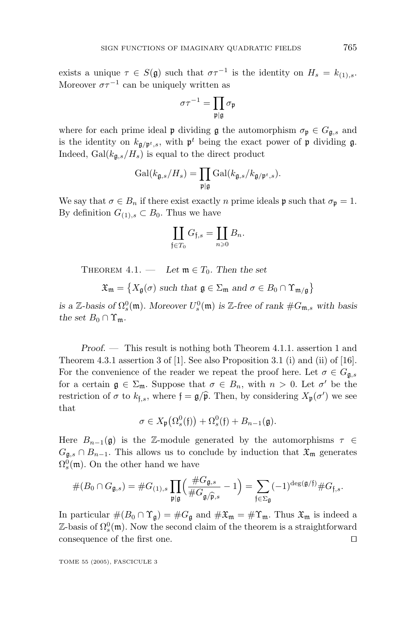exists a unique  $\tau \in S(\mathfrak{g})$  such that  $\sigma \tau^{-1}$  is the identity on  $H_s = k_{(1),s}$ . Moreover  $\sigma\tau^{-1}$  can be uniquely written as

$$
\sigma\tau^{-1}=\prod_{{\mathfrak p}|{\mathfrak g}}\sigma_{\mathfrak p}
$$

where for each prime ideal **p** dividing **g** the automorphism  $\sigma_p \in G_{\mathfrak{q},s}$  and is the identity on  $k_{\mathfrak{g}/\mathfrak{p}^t,s}$ , with  $\mathfrak{p}^t$  being the exact power of  $\mathfrak{p}$  dividing  $\mathfrak{g}$ . Indeed,  $Gal(k_{\mathfrak{g},s}/H_s)$  is equal to the direct product

$$
\mathrm{Gal}(k_{\mathfrak{g},s}/H_s) = \prod_{\mathfrak{p} \mid \mathfrak{g}} \mathrm{Gal}(k_{\mathfrak{g},s}/k_{\mathfrak{g}/\mathfrak{p}^t,s}).
$$

We say that  $\sigma \in B_n$  if there exist exactly *n* prime ideals  $\mathfrak{p}$  such that  $\sigma_{\mathfrak{p}} = 1$ . By definition  $G_{(1),s} \subset B_0$ . Thus we have

$$
\coprod_{\mathfrak{f}\in T_0}G_{\mathfrak{f},s}=\coprod_{n\geqslant 0}B_n.
$$

THEOREM  $4.1.$  — Let  $\mathfrak{m} \in T_0$ . Then the set

 $\mathfrak{X}_{\mathfrak{m}} = \left\{ X_{\mathfrak{g}}(\sigma) \text{ such that } \mathfrak{g} \in \Sigma_{\mathfrak{m}} \text{ and } \sigma \in B_0 \cap \Upsilon_{\mathfrak{m}/\mathfrak{g}} \right\}$ 

*is a* Z-basis of  $\Omega_s^0(\mathfrak{m})$ . Moreover  $U_s^0(\mathfrak{m})$  *is* Z-free of rank  $\#G_{\mathfrak{m},s}$  with basis *the set*  $B_0 \cap \Upsilon_m$ *.* 

*Proof. —* This result is nothing both Theorem 4.1.1. assertion 1 and Theorem 4.3.1 assertion 3 of [1]. See also Proposition 3.1 (i) and (ii) of [16]. For the convenience of the reader we repeat the proof here. Let  $\sigma \in G_{\mathfrak{g},s}$ for a certain  $\mathfrak{g} \in \Sigma_{\mathfrak{m}}$ . Suppose that  $\sigma \in B_n$ , with  $n > 0$ . Let  $\sigma'$  be the restriction of  $\sigma$  to  $k_{\text{f},s}$ , where  $\mathfrak{f} = \mathfrak{g}/\widehat{\mathfrak{p}}$ . Then, by considering  $X_{\mathfrak{p}}(\sigma')$  we see that

$$
\sigma\in X_{\mathfrak{p}}(\Omega_s^0(\mathfrak{f}))+\Omega_s^0(\mathfrak{f})+B_{n-1}(\mathfrak{g}).
$$

Here  $B_{n-1}(\mathfrak{g})$  is the Z-module generated by the automorphisms  $\tau \in$  $G_{\mathfrak{g},s} \cap B_{n-1}$ . This allows us to conclude by induction that  $\mathfrak{X}_{\mathfrak{m}}$  generates  $\Omega_s^0(\mathfrak{m})$ . On the other hand we have

$$
#(B_0 \cap G_{\mathfrak{g},s}) = #G_{(1),s} \prod_{\mathfrak{p} \mid \mathfrak{g}} \left( \frac{\#G_{\mathfrak{g},s}}{\#G_{\mathfrak{g}/\widehat{\mathfrak{p}},s}} - 1 \right) = \sum_{\mathfrak{f} \in \Sigma_{\mathfrak{g}}} (-1)^{\deg(\mathfrak{g}/\mathfrak{f})} #G_{\mathfrak{f},s}.
$$

In particular  $\#(B_0 \cap \Upsilon_{\mathfrak{g}}) = \#G_{\mathfrak{g}}$  and  $\#X_{\mathfrak{m}} = \# \Upsilon_{\mathfrak{m}}$ . Thus  $\mathfrak{X}_{\mathfrak{m}}$  is indeed a  $\mathbb{Z}$ -basis of  $\Omega_s^0(\mathfrak{m})$ . Now the second claim of the theorem is a straightforward consequence of the first one.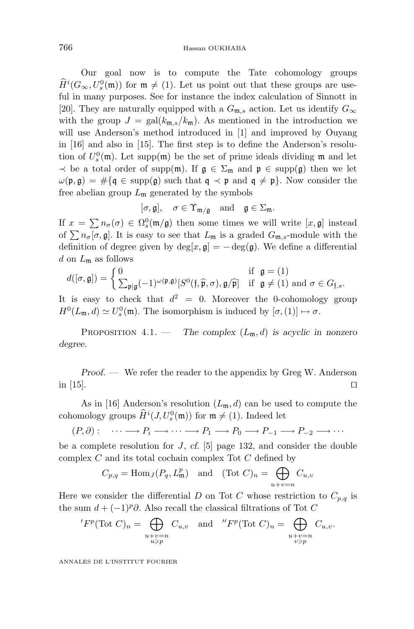Our goal now is to compute the Tate cohomology groups  $H^i(G_\infty, U_s^0(\mathfrak{m}))$  for  $\mathfrak{m} \neq (1)$ . Let us point out that these groups are useful in many purposes. See for instance the index calculation of Sinnott in [20]. They are naturally equipped with a  $G_{\mathfrak{m},s}$  action. Let us identify  $G_{\infty}$ with the group  $J = \text{gal}(k_{\text{m}s}/k_{\text{m}})$ . As mentioned in the introduction we will use Anderson's method introduced in [1] and improved by Ouyang in [16] and also in [15]. The first step is to define the Anderson's resolution of  $U_s^0(\mathfrak{m})$ . Let supp $(\mathfrak{m})$  be the set of prime ideals dividing  $\mathfrak{m}$  and let  $\prec$  be a total order of supp(m). If  $g \in \Sigma_m$  and  $\mathfrak{p} \in \text{supp}(g)$  then we let  $\omega(\mathfrak{p}, \mathfrak{g}) = \#\{\mathfrak{q} \in \text{supp}(\mathfrak{g}) \text{ such that } \mathfrak{q} \prec \mathfrak{p} \text{ and } \mathfrak{q} \neq \mathfrak{p}\}\.$  Now consider the free abelian group  $L_{\mathfrak{m}}$  generated by the symbols

$$
[\sigma,\mathfrak{g}],\quad \sigma\in\Upsilon_{\mathfrak{m}/\mathfrak{g}}\quad {\rm and}\quad \mathfrak{g}\in\Sigma_{\mathfrak{m}}.
$$

If  $x = \sum n_{\sigma}(\sigma) \in \Omega_s^0(\mathfrak{m}/\mathfrak{g})$  then some times we will write  $[x, \mathfrak{g}]$  instead of  $\sum n_{\sigma}[\sigma, \mathfrak{g}]$ . It is easy to see that  $L_{\mathfrak{m}}$  is a graded  $G_{\mathfrak{m},s}$ -module with the definition of degree given by  $deg[x, \mathfrak{g}] = -deg(\mathfrak{g})$ . We define a differential *d* on *L*m as follows

$$
d([\sigma, \mathfrak{g}]) = \begin{cases} 0 & \text{if } \mathfrak{g} = (1) \\ \sum_{\mathfrak{p} | \mathfrak{g}} (-1)^{\omega(\mathfrak{p}, \mathfrak{g})} [S^0(\mathfrak{f}, \widehat{\mathfrak{p}}, \sigma), \mathfrak{g}/\widehat{\mathfrak{p}}] & \text{if } \mathfrak{g} \neq (1) \text{ and } \sigma \in G_{\mathfrak{f}, s}. \end{cases}
$$

It is easy to check that  $d^2 = 0$ . Moreover the 0-cohomology group  $H^0(L_{\mathfrak{m}}, d) \simeq U_s^0(\mathfrak{m})$ . The isomorphism is induced by  $[\sigma, (1)] \mapsto \sigma$ .

Proposition 4.1. — *The complex* (*L*m*, d*) *is acyclic in nonzero degree.*

*Proof. —* We refer the reader to the appendix by Greg W. Anderson in  $[15]$ .

As in [16] Anderson's resolution  $(L_m, d)$  can be used to compute the cohomology groups  $\hat{H}^i(J, U_s^0(\mathfrak{m}))$  for  $\mathfrak{m} \neq (1)$ . Indeed let

$$
(P, \partial): \quad \cdots \longrightarrow P_i \longrightarrow \cdots \longrightarrow P_1 \longrightarrow P_0 \longrightarrow P_{-1} \longrightarrow P_{-2} \longrightarrow \cdots
$$

be a complete resolution for *J*, *cf.* [5] page 132, and consider the double complex *C* and its total cochain complex Tot *C* defined by

$$
C_{p,q} = \text{Hom}_J(P_q, L^p_{\mathfrak{m}}) \quad \text{and} \quad (\text{Tot } C)_n = \bigoplus_{u+v=n} C_{u,v}
$$

Here we consider the differential *D* on Tot *C* whose restriction to  $C_{p,q}$  is the sum  $d + (-1)^p \partial$ . Also recall the classical filtrations of Tot *C* 

$$
{}^{\prime}F^{p}(\text{Tot } C)_{n} = \bigoplus_{\substack{u+v=n\\u\geq p}} C_{u,v} \text{ and } {}^{\prime\prime}F^{p}(\text{Tot } C)_{n} = \bigoplus_{\substack{u+v=n\\v\geq p}} C_{u,v}.
$$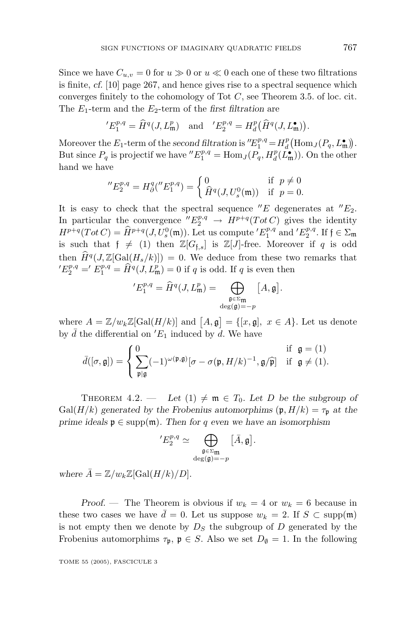Since we have  $C_{u,v} = 0$  for  $u \ge 0$  or  $u \le 0$  each one of these two filtrations is finite, *cf.* [10] page 267, and hence gives rise to a spectral sequence which converges finitely to the cohomology of Tot *C*, see Theorem 3.5. of loc. cit. The *E*1-term and the *E*2-term of the *first filtration* are

$$
{}^{'}E_1^{p,q} = \widehat{H}^q(J, L^p_{\mathfrak{m}}) \quad \text{and} \quad {}^{'}E_2^{p,q} = H^p_d(\widehat{H}^q(J, L^{\bullet}_{\mathfrak{m}})).
$$

Moreover the  $E_1$ -term of the *second filtration* is  $E_1^{p,q} = H_d^p(\text{Hom}_J(P_q, L_m^{\bullet}))$ . But since  $P_q$  is projectif we have  $E_1^{p,q} = \text{Hom}_J(P_q, H_d^p(L_m^{\bullet}))$ . On the other hand we have

$$
{}^{\prime\prime}E_2^{p,q} = H^q_\partial({}^{\prime\prime}E_1^{p,q}) = \begin{cases} 0 & \text{if } p \neq 0 \\ \hat{H}^q(J, U^0_s(\mathfrak{m})) & \text{if } p = 0. \end{cases}
$$

It is easy to check that the spectral sequence  $E$  degenerates at  $E_2$ . In particular the convergence  $E_2^{p,q} \to H^{p+q}(Tot C)$  gives the identity  $H^{p+q}(Tot C) = \hat{H}^{p+q}(J, U_s^0(\mathfrak{m}))$ . Let us compute  $'E_1^{p,q}$  and  $'E_2^{p,q}$ . If  $f \in \Sigma_{\mathfrak{m}}$ is such that  $f \neq (1)$  then  $\mathbb{Z}[G_{f,s}]$  is  $\mathbb{Z}[J]$ -free. Moreover if *q* is odd then  $\hat{H}^q(J,\mathbb{Z}[\text{Gal}(H_s/k)]) = 0$ . We deduce from these two remarks that  $E_2^{p,q} = E_1^{p,q} = \hat{H}^q(J, L^p_{\mathfrak{m}}) = 0$  if *q* is odd. If *q* is even then

$$
{}^{\prime}E^{p,q}_1=\widehat{H}^q(J,L_{\mathfrak{m}}^p)=\bigoplus_{\substack{\mathfrak{g}\in \Sigma_{\mathfrak{m}}\\ \deg(\mathfrak{g})=-p}}\big[A,\mathfrak{g}\big].
$$

where  $A = \mathbb{Z}/w_k\mathbb{Z}[\text{Gal}(H/k)]$  and  $[A, \mathfrak{g}] = \{[x, \mathfrak{g}], x \in A\}$ . Let us denote by  $\bar{d}$  the differential on 'E<sub>1</sub> induced by  $\bar{d}$ . We have

$$
\bar{d}([\sigma, \mathfrak{g}]) = \begin{cases} 0 & \text{if } \mathfrak{g} = (1) \\ \sum_{\mathfrak{p} | \mathfrak{g}} (-1)^{\omega(\mathfrak{p}, \mathfrak{g})} [\sigma - \sigma(\mathfrak{p}, H/k)^{-1}, \mathfrak{g}/\widehat{\mathfrak{p}}] & \text{if } \mathfrak{g} \neq (1). \end{cases}
$$

THEOREM 4.2. — Let  $(1) \neq \mathfrak{m} \in T_0$ . Let D be the subgroup of Gal( $H/k$ ) generated by the Frobenius automorphims ( $\mathfrak{p}, H/k$ ) =  $\tau_{\mathfrak{p}}$  at the *prime ideals*  $\mathfrak{p} \in \text{supp}(\mathfrak{m})$ *. Then for q even we have an isomorphism* 

$$
{}'E_2^{p,q} \simeq \bigoplus_{\substack{\mathfrak{g} \in \Sigma_{\mathfrak{m}} \\ \deg(\mathfrak{g})=-p}} \big[\bar{A},\mathfrak{g}\big].
$$

*where*  $\overline{A} = \mathbb{Z}/w_k\mathbb{Z}[\text{Gal}(H/k)/D].$ 

*Proof.* — The Theorem is obvious if  $w_k = 4$  or  $w_k = 6$  because in these two cases we have  $\bar{d} = 0$ . Let us suppose  $w_k = 2$ . If  $S \subset \text{supp}(\mathfrak{m})$ is not empty then we denote by  $D<sub>S</sub>$  the subgroup of  $D$  generated by the Frobenius automorphims  $\tau_p$ ,  $p \in S$ . Also we set  $D_{\emptyset} = 1$ . In the following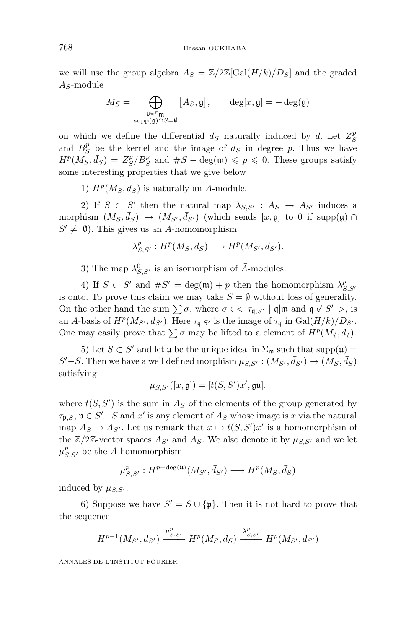#### 768 Hassan OUKHABA

we will use the group algebra  $A_S = \mathbb{Z}/2\mathbb{Z}[\text{Gal}(H/k)/D_S]$  and the graded *AS*-module

$$
M_S = \bigoplus_{\substack{\mathfrak{g} \in \Sigma_{\mathfrak{m}} \\ \operatorname{supp}(\mathfrak{g}) \cap S = \emptyset}} [A_S, \mathfrak{g}], \qquad \deg[x, \mathfrak{g}] = -\deg(\mathfrak{g})
$$

on which we define the differential  $\bar{d}_S$  naturally induced by  $\bar{d}$ . Let  $Z_S^p$ and  $B_S^p$  be the kernel and the image of  $\bar{d}_S$  in degree p. Thus we have  $H^p(M_S, \bar{d}_S) = Z_S^p/B_S^p$  and  $\#S - \text{deg}(\mathfrak{m}) \leqslant p \leqslant 0$ . These groups satisfy some interesting properties that we give below

1)  $H^p(M_S, \bar{d}_S)$  is naturally an  $\bar{A}$ -module.

2) If  $S \subset S'$  then the natural map  $\lambda_{S,S'}$ :  $A_S \rightarrow A_{S'}$  induces a morphism  $(M_S, \bar{d}_S) \rightarrow (M_{S'}, \bar{d}_{S'})$  (which sends  $[x, \mathfrak{g}]$  to 0 if supp( $\mathfrak{g}$ )  $\cap$  $S' \neq \emptyset$ ). This gives us an  $\overline{A}$ -homomorphism

$$
\lambda_{S,S'}^p: H^p(M_S, \bar{d}_S) \longrightarrow H^p(M_{S'}, \bar{d}_{S'}).
$$

3) The map  $\lambda_{S,S'}^0$  is an isomorphism of  $\overline{A}$ -modules.

4) If  $S \subset S'$  and  $\#S' = \deg(\mathfrak{m}) + p$  then the homomorphism  $\lambda_{S,S'}^p$ is onto. To prove this claim we may take  $S = \emptyset$  without loss of generality. On the other hand the sum  $\sum \sigma$ , where  $\sigma \in < \tau_{\mathfrak{q},S'}$  |  $\mathfrak{q}|\mathfrak{m}$  and  $\mathfrak{q} \notin S' >$ , is an  $\bar{A}$ -basis of  $H^p(M_{S'}, \bar{d}_{S'})$ . Here  $\tau_{\mathfrak{q},S'}$  is the image of  $\tau_{\mathfrak{q}}$  in  $Gal(H/k)/D_{S'}$ . One may easily prove that  $\sum \sigma$  may be lifted to a element of  $H^p(M_{\emptyset}, \bar{d}_{\emptyset})$ .

5) Let  $S \subset S'$  and let u be the unique ideal in  $\Sigma_{\mathfrak{m}}$  such that supp(u) =  $S' - S$ . Then we have a well defined morphism  $\mu_{S,S'} : (M_{S'}, \bar{d}_{S'}) \rightarrow (M_S, \bar{d}_S)$ satisfying

$$
\mu_{S,S'}([x,\mathfrak{g}]) = [t(S,S')x',\mathfrak{g}\mathfrak{u}].
$$

where  $t(S, S')$  is the sum in  $A_S$  of the elements of the group generated by  $\tau_{\mathfrak{p},S}$ ,  $\mathfrak{p} \in S' - S$  and  $x'$  is any element of  $A_S$  whose image is  $x$  via the natural map  $A_S \to A_{S'}$ . Let us remark that  $x \mapsto t(S, S')x'$  is a homomorphism of the  $\mathbb{Z}/2\mathbb{Z}$ -vector spaces  $A_{S'}$  and  $A_S$ . We also denote it by  $\mu_{S,S'}$  and we let  $\mu_{S,S'}^p$  be the *A*<sup>−</sup>homomorphism

$$
\mu_{S,S'}^p: H^{p+\deg({\mathfrak{u}})}(M_{S'},\bar{d}_{S'}) \longrightarrow H^p(M_S,\bar{d}_S)
$$

induced by  $\mu_{S,S'}$ .

6) Suppose we have  $S' = S \cup \{\mathfrak{p}\}\)$ . Then it is not hard to prove that the sequence

$$
H^{p+1}(M_{S'}, \bar{d}_{S'}) \xrightarrow{\mu^p_{S,S'}} H^p(M_S, \bar{d}_S) \xrightarrow{\lambda^p_{S,S'}} H^p(M_{S'}, \bar{d}_{S'})
$$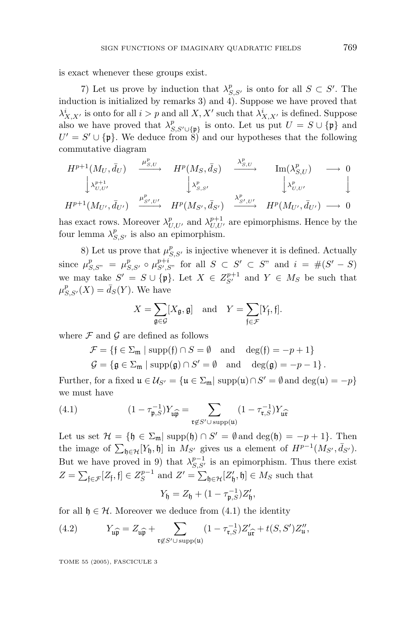is exact whenever these groups exist.

7) Let us prove by induction that  $\lambda_{S,S'}^p$  is onto for all  $S \subset S'$ . The induction is initialized by remarks 3) and 4). Suppose we have proved that  $\lambda_{X,X'}^i$  is onto for all  $i>p$  and all  $X, X'$  such that  $\lambda_{X,X'}^i$  is defined. Suppose also we have proved that  $\lambda_{S, S' \cup \{\mathfrak{p}\}}^p$  is onto. Let us put  $U = S \cup \{\mathfrak{p}\}\$  and  $U' = S' \cup {\{\mathfrak{p}\}\}\.$  We deduce from  $\tilde{S}$  and our hypotheses that the following commutative diagram

$$
H^{p+1}(M_U, \bar{d}_U) \xrightarrow{\mu_{S,U}^p} H^p(M_S, \bar{d}_S) \xrightarrow{\lambda_{S,U}^p} \text{Im}(\lambda_{S,U}^p) \longrightarrow 0
$$
  
\n
$$
\downarrow \lambda_{U,U'}^{p+1} \qquad \qquad \downarrow \lambda_{S,S'}^p \qquad \qquad \downarrow \lambda_{U,U'}^p \qquad \qquad \downarrow
$$
  
\n
$$
H^{p+1}(M_{U'}, \bar{d}_{U'}) \xrightarrow{\mu_{S',U'}^p} H^p(M_{S'}, \bar{d}_{S'}) \xrightarrow{\lambda_{S',U'}^p} H^p(M_{U'}, \bar{d}_{U'}) \longrightarrow 0
$$

has exact rows. Moreover  $\lambda_{U,U'}^p$  and  $\lambda_{U,U'}^{p+1}$  are epimorphisms. Hence by the four lemma  $\lambda_{S,S'}^p$  is also an epimorphism.

8) Let us prove that  $\mu_{S,S'}^p$  is injective whenever it is defined. Actually  $\lim_{S \to S} \mu_{S,S'}^p = \mu_{S,S'}^p \circ \mu_{S',S''}^{p+i}$  for all  $S \subset S' \subset S''$  and  $i = \#(S' - S)$ we may take  $S' = S \cup \{\mathfrak{p}\}\$ . Let  $X \in Z_{S'}^{p+1}$  and  $Y \in M_S$  be such that  $\mu_{S,S'}^p(X) = \bar{d}_S(Y)$ . We have

$$
X = \sum_{\mathfrak{g} \in \mathcal{G}} [X_{\mathfrak{g}}, \mathfrak{g}] \quad \text{and} \quad Y = \sum_{\mathfrak{f} \in \mathcal{F}} [Y_{\mathfrak{f}}, \mathfrak{f}].
$$

where  $\mathcal F$  and  $\mathcal G$  are defined as follows

$$
\mathcal{F} = \{ \mathfrak{f} \in \Sigma_{\mathfrak{m}} \mid \text{supp}(\mathfrak{f}) \cap S = \emptyset \quad \text{and} \quad \deg(\mathfrak{f}) = -p + 1 \}
$$
  

$$
\mathcal{G} = \{ \mathfrak{g} \in \Sigma_{\mathfrak{m}} \mid \text{supp}(\mathfrak{g}) \cap S' = \emptyset \quad \text{and} \quad \deg(\mathfrak{g}) = -p - 1 \}.
$$

Further, for a fixed  $\mathfrak{u} \in \mathcal{U}_{S'} = {\mathfrak{u} \in \Sigma_{\mathfrak{m}} | \operatorname{supp}(\mathfrak{u}) \cap S'} = \emptyset$  and  $\deg(\mathfrak{u}) = -p}$ we must have

(4.1) 
$$
(1 - \tau_{\mathfrak{p},S}^{-1}) Y_{\mathfrak{u}\widehat{\mathfrak{p}}} = \sum_{\mathfrak{r} \notin S' \cup \text{supp}(\mathfrak{u})} (1 - \tau_{\mathfrak{r},S}^{-1}) Y_{\mathfrak{u}\widehat{\mathfrak{r}}}
$$

Let us set  $\mathcal{H} = \{\mathfrak{h} \in \Sigma_{\mathfrak{m}} | \operatorname{supp}(\mathfrak{h}) \cap S' = \emptyset \text{ and } \deg(\mathfrak{h}) = -p + 1\}.$  Then the image of  $\sum_{\mathfrak{h}\in\mathcal{H}}[Y_{\mathfrak{h}},\mathfrak{h}]$  in  $M_{S'}$  gives us a element of  $H^{p-1}(M_{S'},\bar{d}_{S'}).$ But we have proved in 9) that  $\lambda_{S,S'}^{p-1}$  is an epimorphism. Thus there exist  $Z = \sum_{\mathfrak{f} \in \mathcal{F}} [Z_{\mathfrak{f}}, \mathfrak{f}] \in Z_S^{p-1}$  and  $Z' = \sum_{\mathfrak{h} \in \mathcal{H}} [Z'_{\mathfrak{h}}, \mathfrak{h}] \in M_S$  such that

$$
Y_{\mathfrak{h}} = Z_{\mathfrak{h}} + (1 - \tau_{\mathfrak{p},S}^{-1})Z_{\mathfrak{h}}',
$$

for all  $\mathfrak{h} \in \mathcal{H}$ . Moreover we deduce from (4.1) the identity

(4.2) 
$$
Y_{\mathfrak{u}\widehat{\mathfrak{p}}} = Z_{\mathfrak{u}\widehat{\mathfrak{p}}} + \sum_{\mathfrak{r} \notin S' \cup \text{ supp}(\mathfrak{u})} (1 - \tau_{\mathfrak{r},S}^{-1}) Z'_{\mathfrak{u}\widehat{\mathfrak{r}}} + t(S, S') Z''_{\mathfrak{u}},
$$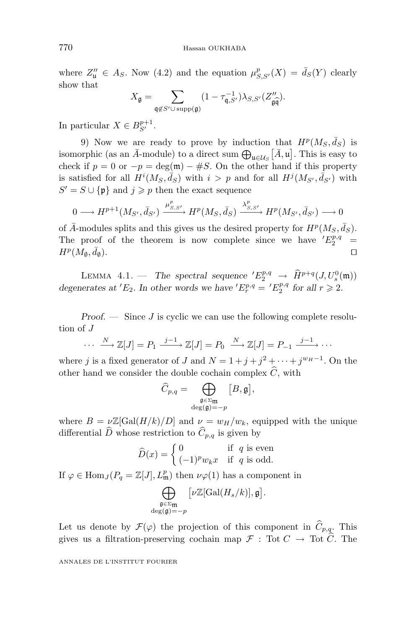where  $Z''_u \in A_S$ . Now (4.2) and the equation  $\mu^p_{S,S'}(X) = \bar{d}_S(Y)$  clearly show that

$$
X_{\mathfrak{g}} = \sum_{\mathfrak{q} \not\in S' \cup \text{supp}(\mathfrak{g})} (1 - \tau_{\mathfrak{q}, S'}^{-1}) \lambda_{S, S'}(Z''_{\mathfrak{g}\mathfrak{q}}).
$$

In particular  $X \in B_{S'}^{p+1}$ .

9) Now we are ready to prove by induction that  $H^p(M_S, \bar{d}_S)$  is isomorphic (as an  $\bar{A}$ -module) to a direct sum  $\bigoplus_{\mathfrak{u}\in\mathcal{U}_S}\left[\bar{A},\mathfrak{u}\right]$ . This is easy to check if  $p = 0$  or  $-p = \deg(\mathfrak{m}) - \#S$ . On the other hand if this property is satisfied for all  $H^i(M_S, \bar{d}_S)$  with  $i > p$  and for all  $H^j(M_{S'}, \bar{d}_{S'})$  with  $S' = S \cup \{\mathfrak{p}\}\$ and  $j \geqslant p$  then the exact sequence

$$
0 \longrightarrow H^{p+1}(M_{S'}, \bar{d}_{S'}) \xrightarrow{\mu^p_{S,S'}} H^p(M_S, \bar{d}_S) \xrightarrow{\lambda^p_{S,S'}} H^p(M_{S'}, \bar{d}_{S'}) \longrightarrow 0
$$

of  $\bar{A}$ -modules splits and this gives us the desired property for  $H^p(M_S, \bar{d}_S)$ . The proof of the theorem is now complete since we have  $'E_2^{p,q}$  =  $H^p(M_\emptyset, \bar{d}_\emptyset).$  $d_{\emptyset}$ ).

LEMMA 4.1. — The spectral sequence  $'E_2^{p,q} \to \widehat{H}^{p+q}(J, U_s^0(\mathfrak{m}))$ degenerates at 'E<sub>2</sub>. In other words we have ' $E_r^{p,q} = 'E_2^{p,q}$  for all  $r \ge 2$ .

*Proof. —* Since *J* is cyclic we can use the following complete resolution of *J*

 $\cdots \longrightarrow \mathbb{Z}[J] = P_1 \xrightarrow{j-1} \mathbb{Z}[J] = P_0 \xrightarrow{N} \mathbb{Z}[J] = P_{-1} \xrightarrow{j-1} \cdots$ 

where *j* is a fixed generator of *J* and  $N = 1 + j + j^2 + \cdots + j^{w_H-1}$ . On the other hand we consider the double cochain complex  $C$ , with

$$
\widehat{C}_{p,q} = \bigoplus_{\substack{\mathfrak{g} \in \Sigma_{\mathfrak{m}} \\ \deg(\mathfrak{g})=-p}} \big[B,\mathfrak{g}\big],
$$

where  $B = \nu \mathbb{Z}[\text{Gal}(H/k)/D]$  and  $\nu = w_H/w_k$ , equipped with the unique differential *D* whose restriction to  $C_{p,q}$  is given by

$$
\widehat{D}(x) = \begin{cases} 0 & \text{if } q \text{ is even} \\ (-1)^p w_k x & \text{if } q \text{ is odd.} \end{cases}
$$

If  $\varphi \in \text{Hom}_J(P_q = \mathbb{Z}[J], L^p_{\mathfrak{m}})$  then  $\nu\varphi(1)$  has a component in

$$
\bigoplus_{\substack{\mathfrak{g}\in \Sigma_{\mathfrak{m}} \\ \deg({\mathfrak{g}})=-p}}\big[\nu{\mathbb{Z}}[{\rm Gal}(H_s/k)],\mathfrak{g}\big].
$$

Let us denote by  $\mathcal{F}(\varphi)$  the projection of this component in  $C_{p,q}$ . This gives us a filtration-preserving cochain map  $\mathcal{F}$ : Tot  $C \to \text{Tot } C$ . The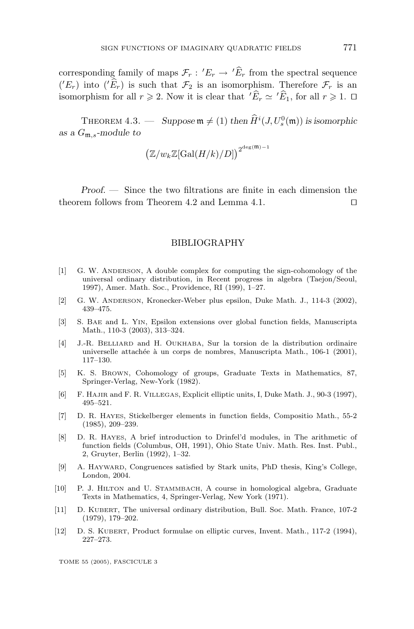corresponding family of maps  $\mathcal{F}_r$ :  $^{\prime}E_r \rightarrow ^{\prime}E_r$  from the spectral sequence  $({}^{\prime}E_r)$  into  $({}^{\prime}E_r)$  is such that  $\mathcal{F}_2$  is an isomorphism. Therefore  $\mathcal{F}_r$  is an isomorphism for all  $r \ge 2$ . Now it is clear that  $'\widehat{E}_r \simeq \check{E}_1$ , for all  $r \ge 1$ .  $\Box$ 

THEOREM 4.3.  $\longrightarrow$  *Suppose*  $\mathfrak{m} \neq (1)$  *then*  $\widehat{H}^i(J, U_s^0(\mathfrak{m}))$  *is isomorphic as a G*m*,s-module to*

$$
\big(\mathbb{Z}/w_k\mathbb{Z}[\mathrm{Gal}(H/k)/D]\big)^{2^{\deg(\mathfrak{m})-1}}
$$

*Proof. —* Since the two filtrations are finite in each dimension the theorem follows from Theorem 4.2 and Lemma 4.1.

#### BIBLIOGRAPHY

- [1] G. W. ANDERSON, A double complex for computing the sign-cohomology of the universal ordinary distribution, in Recent progress in algebra (Taejon/Seoul, 1997), Amer. Math. Soc., Providence, RI (199), 1–27.
- [2] G. W. ANDERSON, Kronecker-Weber plus epsilon, Duke Math. J., 114-3 (2002), 439–475.
- [3] S. BAE and L. YIN, Epsilon extensions over global function fields, Manuscripta Math., 110-3 (2003), 313–324.
- [4] J.-R. BELLIARD and H. OUKHABA, Sur la torsion de la distribution ordinaire universelle attachée à un corps de nombres, Manuscripta Math., 106-1 (2001), 117–130.
- [5] K. S. BROWN, Cohomology of groups, Graduate Texts in Mathematics, 87, Springer-Verlag, New-York (1982).
- [6] F. HAJIR and F. R. VILLEGAS, Explicit elliptic units, I, Duke Math. J., 90-3 (1997), 495–521.
- [7] D. R. HAYES, Stickelberger elements in function fields, Compositio Math., 55-2 (1985), 209–239.
- [8] D. R. HAYES, A brief introduction to Drinfel'd modules, in The arithmetic of function fields (Columbus, OH, 1991), Ohio State Univ. Math. Res. Inst. Publ., 2, Gruyter, Berlin (1992), 1–32.
- [9] A. HAYWARD, Congruences satisfied by Stark units, PhD thesis, King's College, London, 2004.
- [10] P. J. HILTON and U. STAMMBACH, A course in homological algebra, Graduate Texts in Mathematics, 4, Springer-Verlag, New York (1971).
- [11] D. KUBERT, The universal ordinary distribution, Bull. Soc. Math. France, 107-2 (1979), 179–202.
- [12] D. S. KUBERT, Product formulae on elliptic curves, Invent. Math., 117-2 (1994), 227–273.